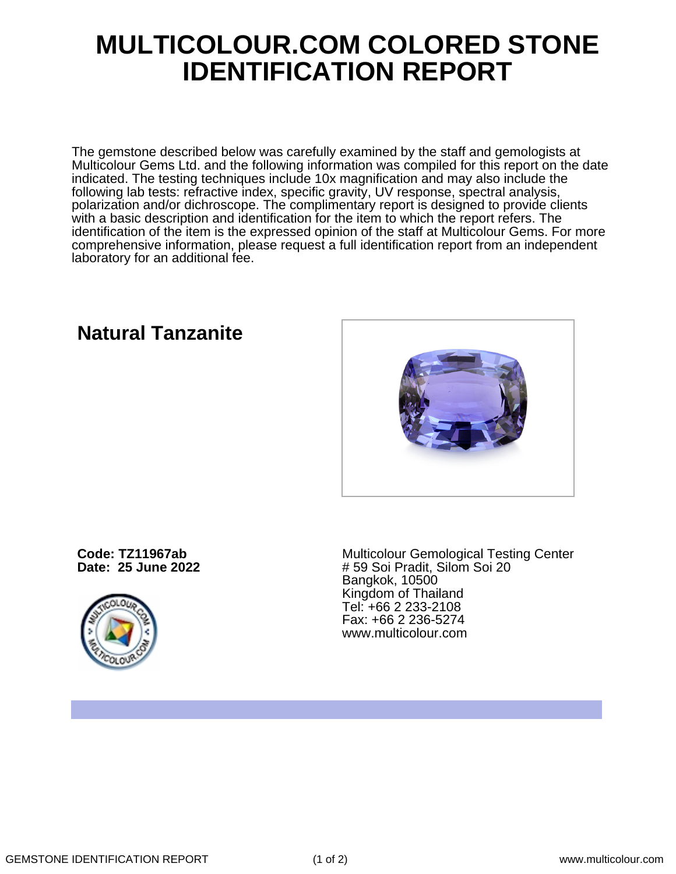## **MULTICOLOUR.COM COLORED STONE IDENTIFICATION REPORT**

The gemstone described below was carefully examined by the staff and gemologists at Multicolour Gems Ltd. and the following information was compiled for this report on the date indicated. The testing techniques include 10x magnification and may also include the following lab tests: refractive index, specific gravity, UV response, spectral analysis, polarization and/or dichroscope. The complimentary report is designed to provide clients with a basic description and identification for the item to which the report refers. The identification of the item is the expressed opinion of the staff at Multicolour Gems. For more comprehensive information, please request a full identification report from an independent laboratory for an additional fee.

**Code: TZ11967ab Date: 25 June 2022**



Multicolour Gemological Testing Center # 59 Soi Pradit, Silom Soi 20 Bangkok, 10500 Kingdom of Thailand Tel: +66 2 233-2108 Fax: +66 2 236-5274 www.multicolour.com

**Natural Tanzanite**